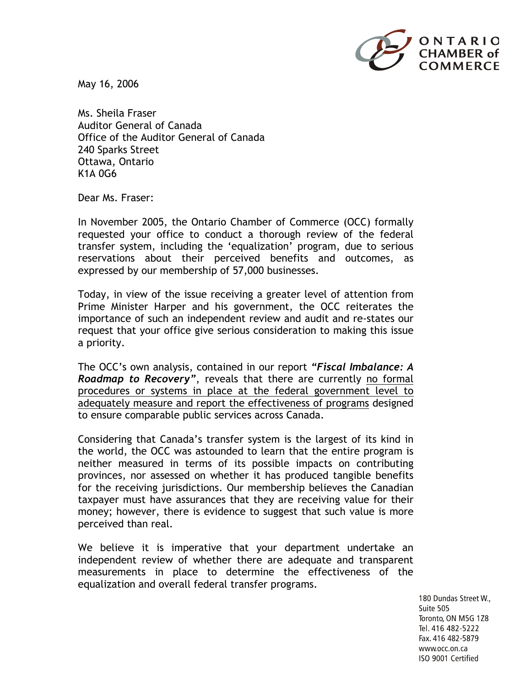

May 16, 2006

Ms. Sheila Fraser Auditor General of Canada Office of the Auditor General of Canada 240 Sparks Street Ottawa, Ontario K1A 0G6

Dear Ms. Fraser:

In November 2005, the Ontario Chamber of Commerce (OCC) formally requested your office to conduct a thorough review of the federal transfer system, including the 'equalization' program, due to serious reservations about their perceived benefits and outcomes, as expressed by our membership of 57,000 businesses.

Today, in view of the issue receiving a greater level of attention from Prime Minister Harper and his government, the OCC reiterates the importance of such an independent review and audit and re-states our request that your office give serious consideration to making this issue a priority.

The OCC's own analysis, contained in our report *"Fiscal Imbalance: A Roadmap to Recovery"*, reveals that there are currently no formal procedures or systems in place at the federal government level to adequately measure and report the effectiveness of programs designed to ensure comparable public services across Canada.

Considering that Canada's transfer system is the largest of its kind in the world, the OCC was astounded to learn that the entire program is neither measured in terms of its possible impacts on contributing provinces, nor assessed on whether it has produced tangible benefits for the receiving jurisdictions. Our membership believes the Canadian taxpayer must have assurances that they are receiving value for their money; however, there is evidence to suggest that such value is more perceived than real.

We believe it is imperative that your department undertake an independent review of whether there are adequate and transparent measurements in place to determine the effectiveness of the equalization and overall federal transfer programs.

> 180 Dundas Street W., Suite 505 Toronto, ON M5G 1Z8 Tel. 416 482-5222 Fax. 416 482-5879 www.occ.on.ca ISO 9001 Certified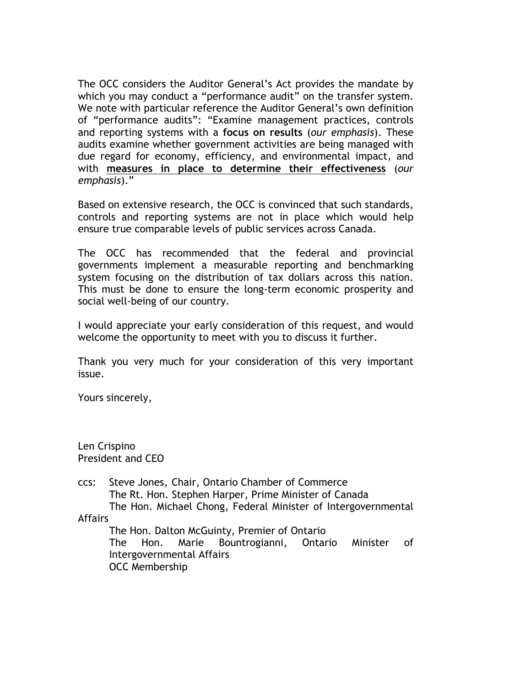The OCC considers the Auditor General's Act provides the mandate by which you may conduct a "performance audit" on the transfer system. We note with particular reference the Auditor General's own definition of "performance audits": "Examine management practices, controls and reporting systems with a **focus on results** (*our emphasis*). These audits examine whether government activities are being managed with due regard for economy, efficiency, and environmental impact, and with **measures in place to determine their effectiveness** (*our emphasis*)."

Based on extensive research, the OCC is convinced that such standards, controls and reporting systems are not in place which would help ensure true comparable levels of public services across Canada.

The OCC has recommended that the federal and provincial governments implement a measurable reporting and benchmarking system focusing on the distribution of tax dollars across this nation. This must be done to ensure the long-term economic prosperity and social well-being of our country.

I would appreciate your early consideration of this request, and would welcome the opportunity to meet with you to discuss it further.

Thank you very much for your consideration of this very important issue.

Yours sincerely,

Len Crispino President and CEO

ccs: Steve Jones, Chair, Ontario Chamber of Commerce The Rt. Hon. Stephen Harper, Prime Minister of Canada The Hon. Michael Chong, Federal Minister of Intergovernmental Affairs The Hon. Dalton McGuinty, Premier of Ontario

The Hon. Marie Bountrogianni, Ontario Minister of Intergovernmental Affairs OCC Membership